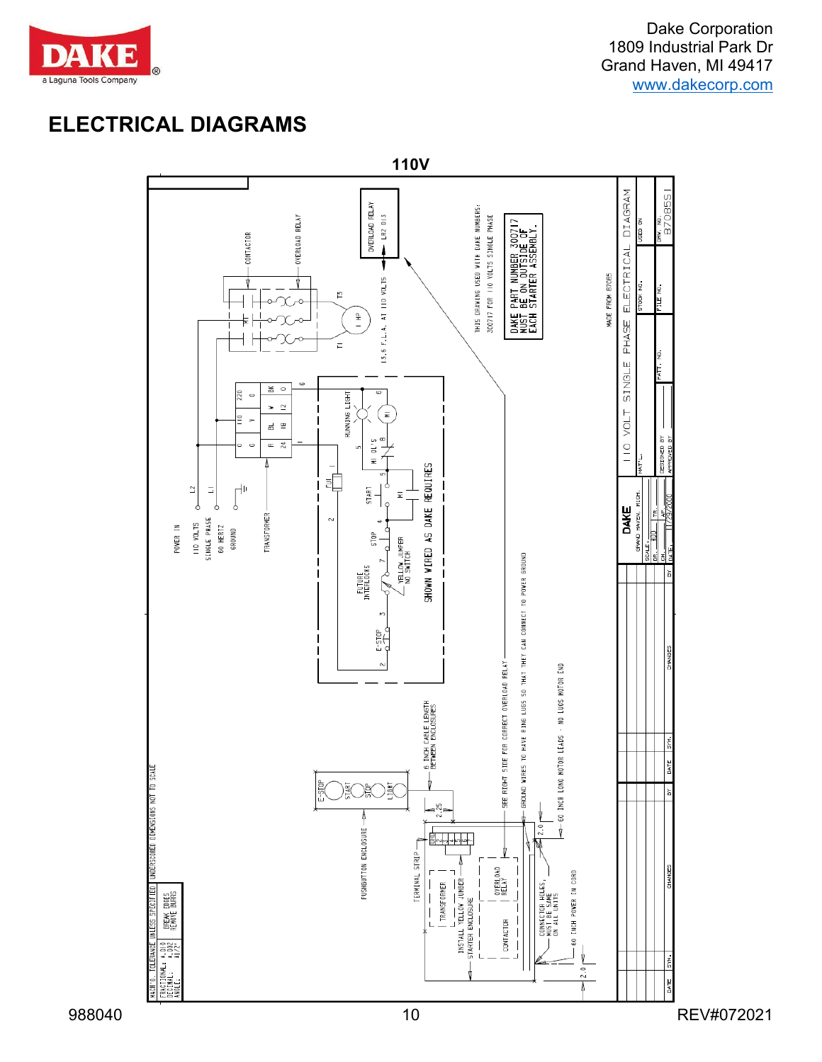

## **ELECTRICAL DIAGRAMS**

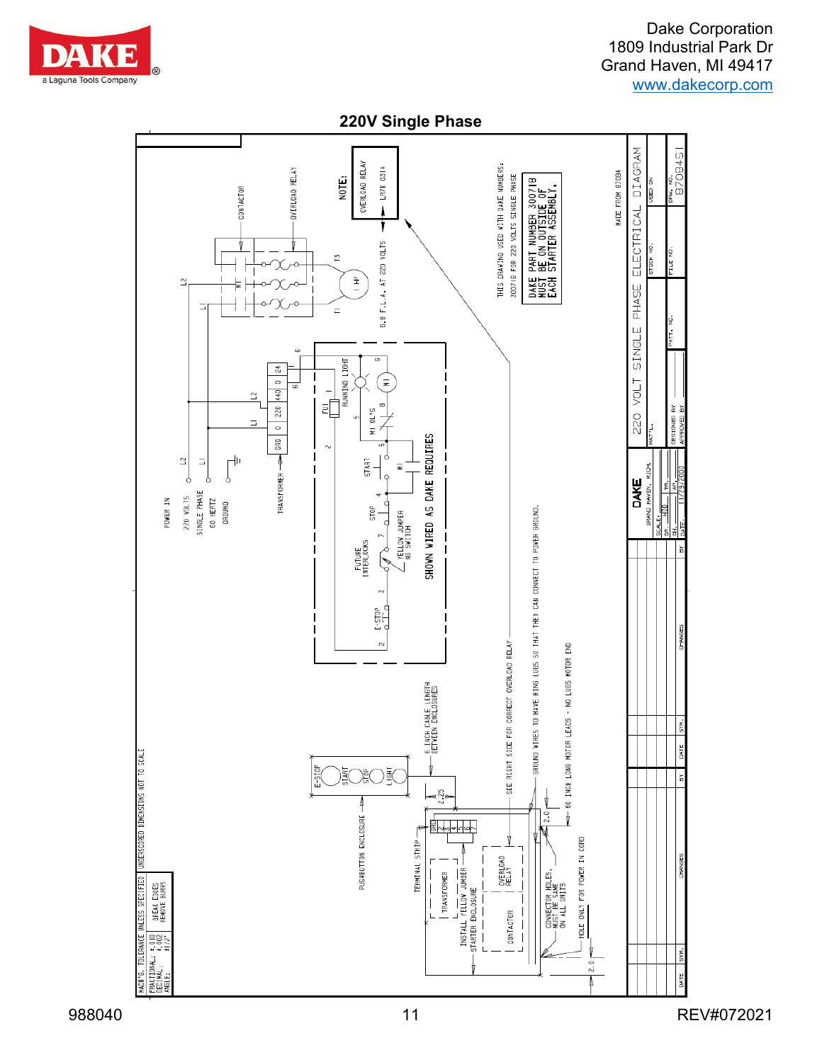

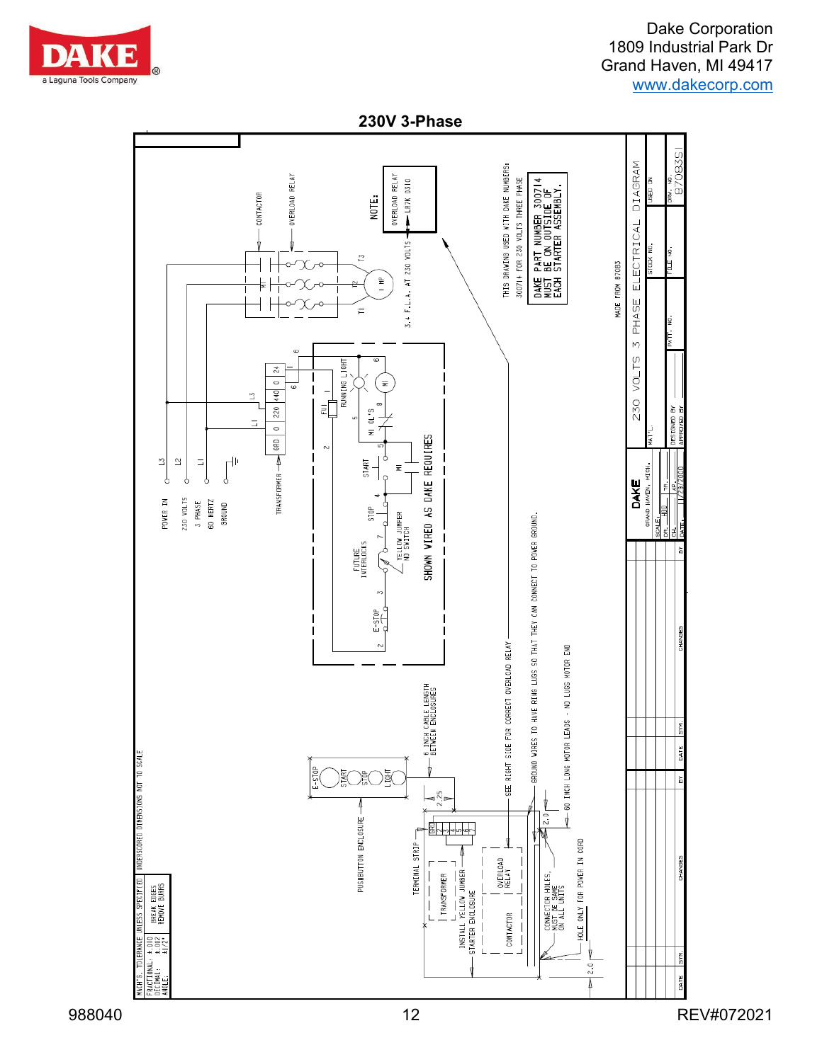

**230V 3-Phase**

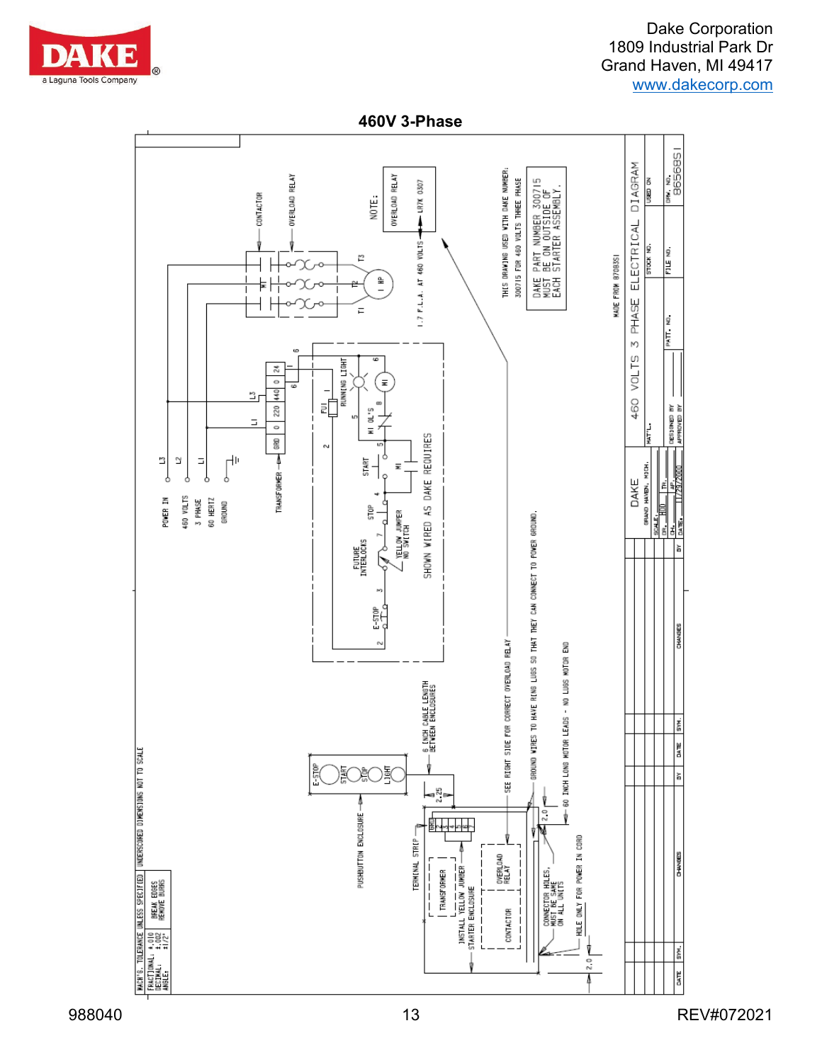

**460V 3-Phase**

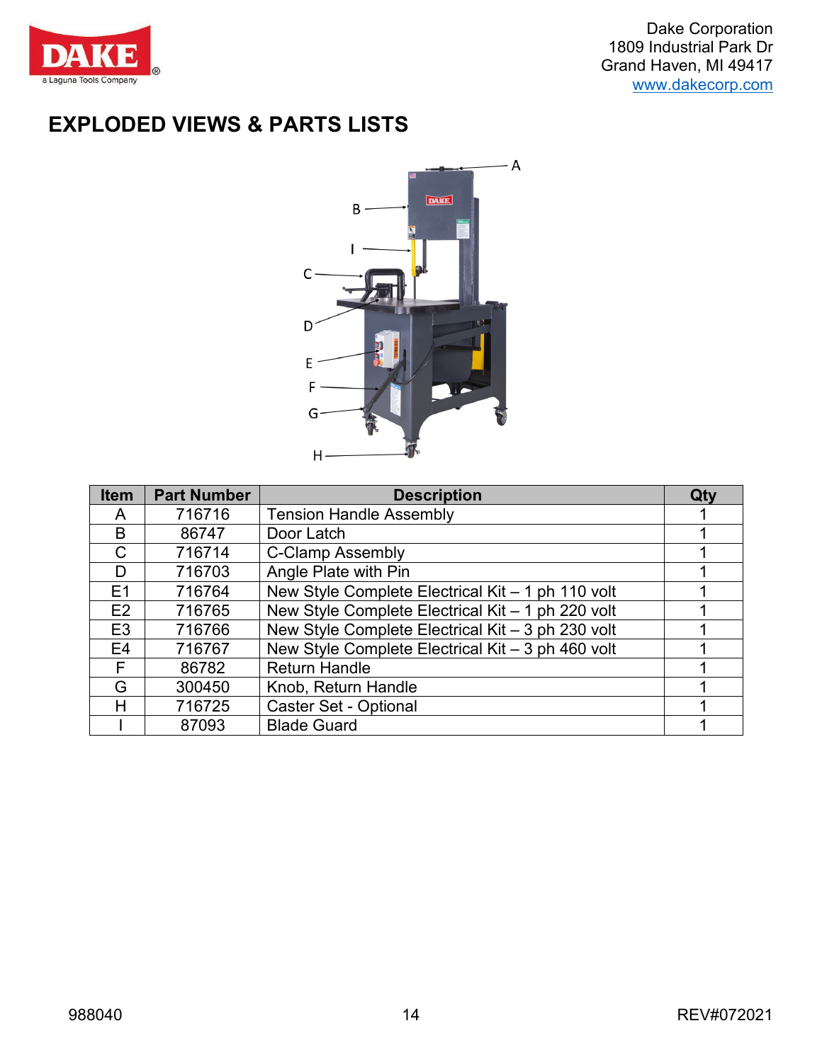

# **EXPLODED VIEWS & PARTS LISTS**



| <b>Item</b>    | <b>Part Number</b> | <b>Description</b>                                | Qty |
|----------------|--------------------|---------------------------------------------------|-----|
| A              | 716716             | <b>Tension Handle Assembly</b>                    |     |
| B              | 86747              | Door Latch                                        |     |
| C              | 716714             | <b>C-Clamp Assembly</b>                           |     |
| D              | 716703             | Angle Plate with Pin                              |     |
| E1             | 716764             | New Style Complete Electrical Kit - 1 ph 110 volt |     |
| E2             | 716765             | New Style Complete Electrical Kit - 1 ph 220 volt |     |
| E <sub>3</sub> | 716766             | New Style Complete Electrical Kit - 3 ph 230 volt |     |
| E <sub>4</sub> | 716767             | New Style Complete Electrical Kit - 3 ph 460 volt |     |
| F.             | 86782              | <b>Return Handle</b>                              |     |
| G              | 300450             | Knob, Return Handle                               |     |
| Н              | 716725             | <b>Caster Set - Optional</b>                      |     |
|                | 87093              | <b>Blade Guard</b>                                |     |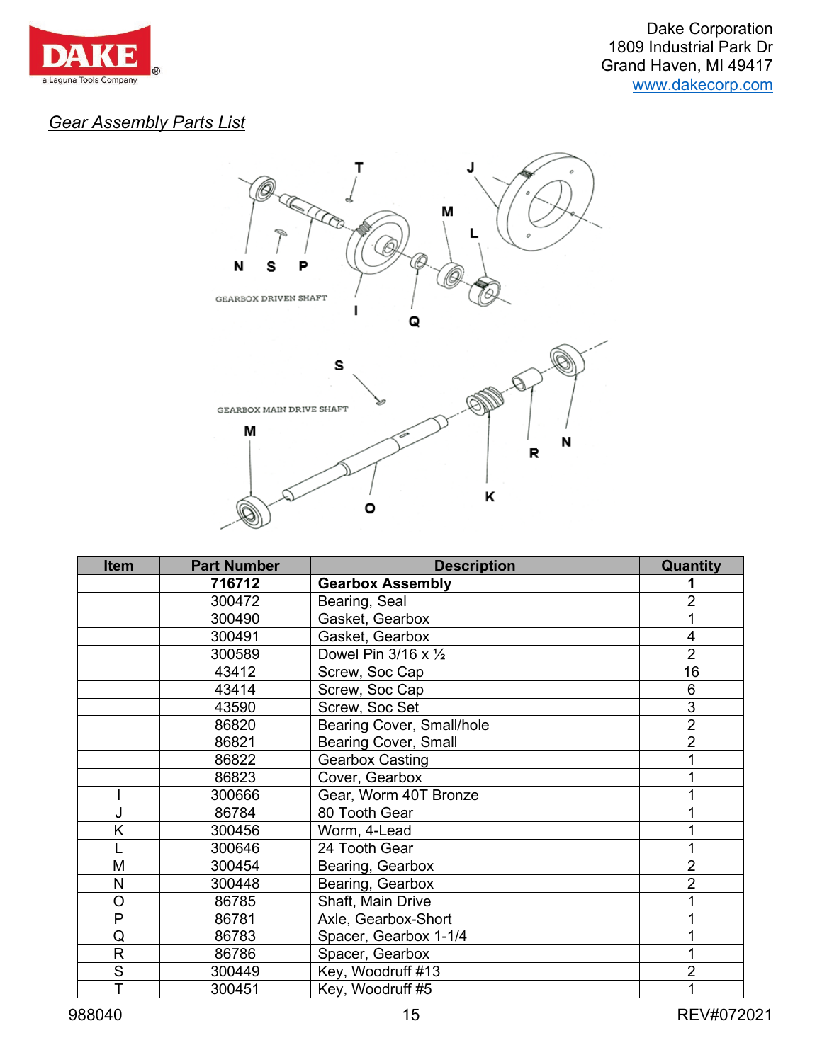

### *Gear Assembly Parts List*



| <b>Item</b> | <b>Part Number</b> | <b>Description</b>                  | Quantity       |
|-------------|--------------------|-------------------------------------|----------------|
|             | 716712             | <b>Gearbox Assembly</b>             |                |
|             | 300472             | Bearing, Seal                       | 2              |
|             | 300490             | Gasket, Gearbox                     |                |
|             | 300491             | Gasket, Gearbox                     | 4              |
|             | 300589             | Dowel Pin $3/16 \times \frac{1}{2}$ | $\overline{2}$ |
|             | 43412              | Screw, Soc Cap                      | 16             |
|             | 43414              | Screw, Soc Cap                      | 6              |
|             | 43590              | Screw, Soc Set                      | 3              |
|             | 86820              | Bearing Cover, Small/hole           | $\overline{2}$ |
|             | 86821              | Bearing Cover, Small                | $\overline{2}$ |
|             | 86822              | <b>Gearbox Casting</b>              |                |
|             | 86823              | Cover, Gearbox                      |                |
|             | 300666             | Gear, Worm 40T Bronze               |                |
| J           | 86784              | 80 Tooth Gear                       |                |
| Κ           | 300456             | Worm, 4-Lead                        |                |
|             | 300646             | 24 Tooth Gear                       |                |
| M           | 300454             | Bearing, Gearbox                    | $\overline{2}$ |
| N           | 300448             | Bearing, Gearbox                    | $\overline{2}$ |
| O           | 86785              | Shaft, Main Drive                   |                |
| P           | 86781              | Axle, Gearbox-Short                 |                |
| Q           | 86783              | Spacer, Gearbox 1-1/4               |                |
| R           | 86786              | Spacer, Gearbox                     |                |
| S           | 300449             | Key, Woodruff #13                   | $\overline{2}$ |
| T           | 300451             | Key, Woodruff #5                    |                |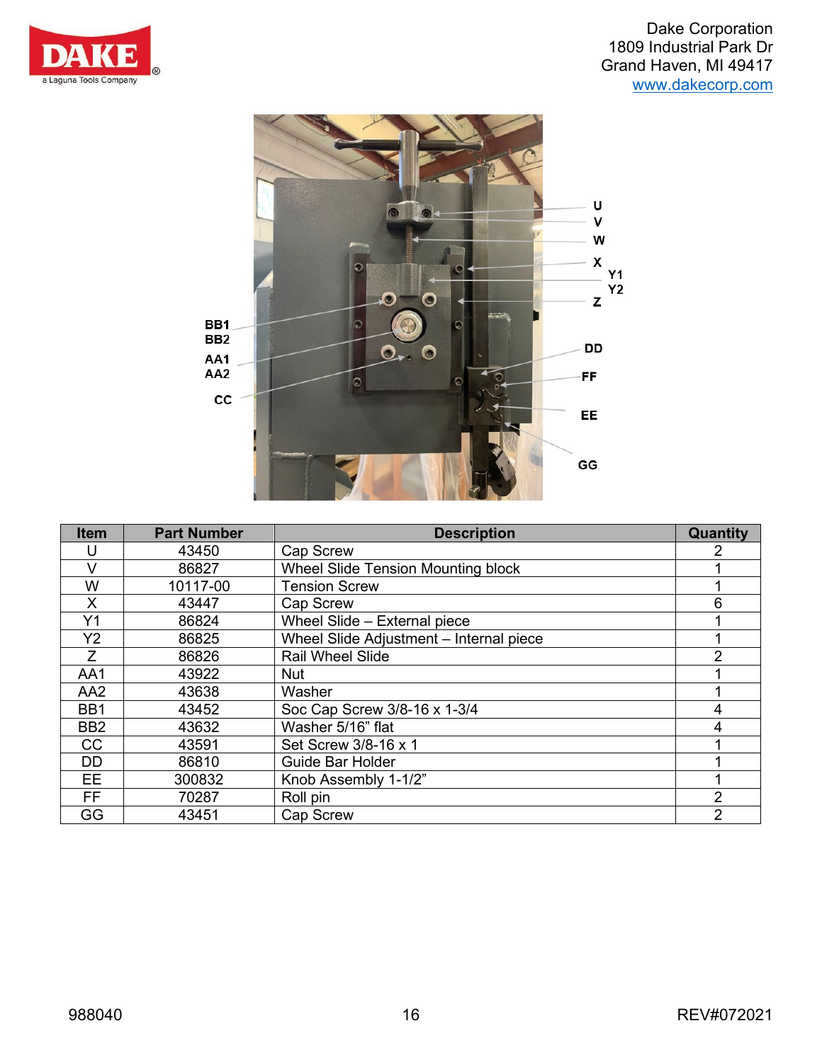



| <b>Item</b>     | <b>Part Number</b> | <b>Description</b>                        | Quantity       |
|-----------------|--------------------|-------------------------------------------|----------------|
| U               | 43450              | <b>Cap Screw</b>                          | 2              |
| V               | 86827              | <b>Wheel Slide Tension Mounting block</b> |                |
| W               | 10117-00           | <b>Tension Screw</b>                      |                |
| X               | 43447              | <b>Cap Screw</b>                          | 6              |
| Y1              | 86824              | Wheel Slide - External piece              |                |
| Y2              | 86825              | Wheel Slide Adjustment - Internal piece   |                |
| Z               | 86826              | <b>Rail Wheel Slide</b>                   | $\overline{2}$ |
| AA1             | 43922              | <b>Nut</b>                                |                |
| AA <sub>2</sub> | 43638              | Washer                                    |                |
| BB1             | 43452              | Soc Cap Screw 3/8-16 x 1-3/4              | $\overline{4}$ |
| BB <sub>2</sub> | 43632              | Washer 5/16" flat                         | 4              |
| CC              | 43591              | Set Screw 3/8-16 x 1                      |                |
| DD.             | 86810              | Guide Bar Holder                          |                |
| <b>EE</b>       | 300832             | Knob Assembly 1-1/2"                      |                |
| <b>FF</b>       | 70287              | Roll pin                                  | $\overline{2}$ |
| GG              | 43451              | <b>Cap Screw</b>                          | $\overline{2}$ |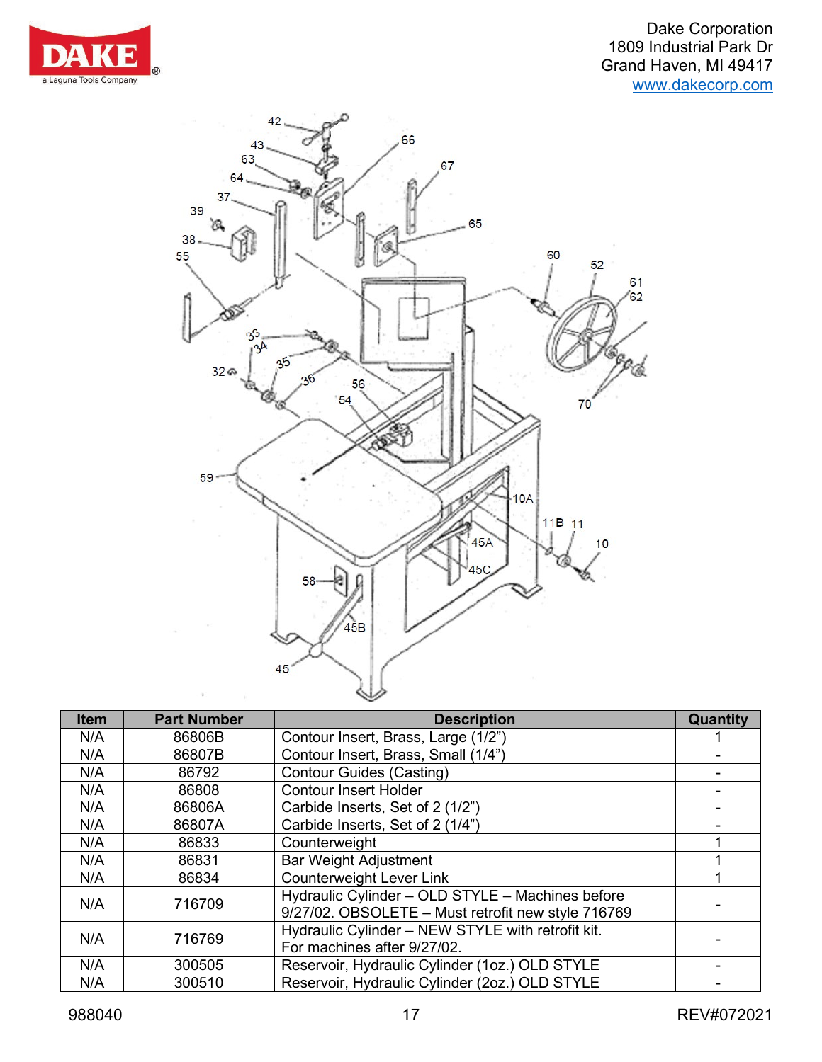



| <b>Item</b> | <b>Part Number</b> | <b>Description</b>                                                                                     | Quantity |
|-------------|--------------------|--------------------------------------------------------------------------------------------------------|----------|
| N/A         | 86806B             | Contour Insert, Brass, Large (1/2")                                                                    |          |
| N/A         | 86807B             | Contour Insert, Brass, Small (1/4")                                                                    |          |
| N/A         | 86792              | <b>Contour Guides (Casting)</b>                                                                        |          |
| N/A         | 86808              | <b>Contour Insert Holder</b>                                                                           |          |
| N/A         | 86806A             | Carbide Inserts, Set of 2 (1/2")                                                                       |          |
| N/A         | 86807A             | Carbide Inserts, Set of 2 (1/4")                                                                       |          |
| N/A         | 86833              | Counterweight                                                                                          |          |
| N/A         | 86831              | <b>Bar Weight Adjustment</b>                                                                           |          |
| N/A         | 86834              | <b>Counterweight Lever Link</b>                                                                        |          |
| N/A         | 716709             | Hydraulic Cylinder - OLD STYLE - Machines before<br>9/27/02. OBSOLETE - Must retrofit new style 716769 |          |
| N/A         | 716769             | Hydraulic Cylinder - NEW STYLE with retrofit kit.<br>For machines after 9/27/02.                       |          |
| N/A         | 300505             | Reservoir, Hydraulic Cylinder (1oz.) OLD STYLE                                                         |          |
| N/A         | 300510             | Reservoir, Hydraulic Cylinder (2oz.) OLD STYLE                                                         |          |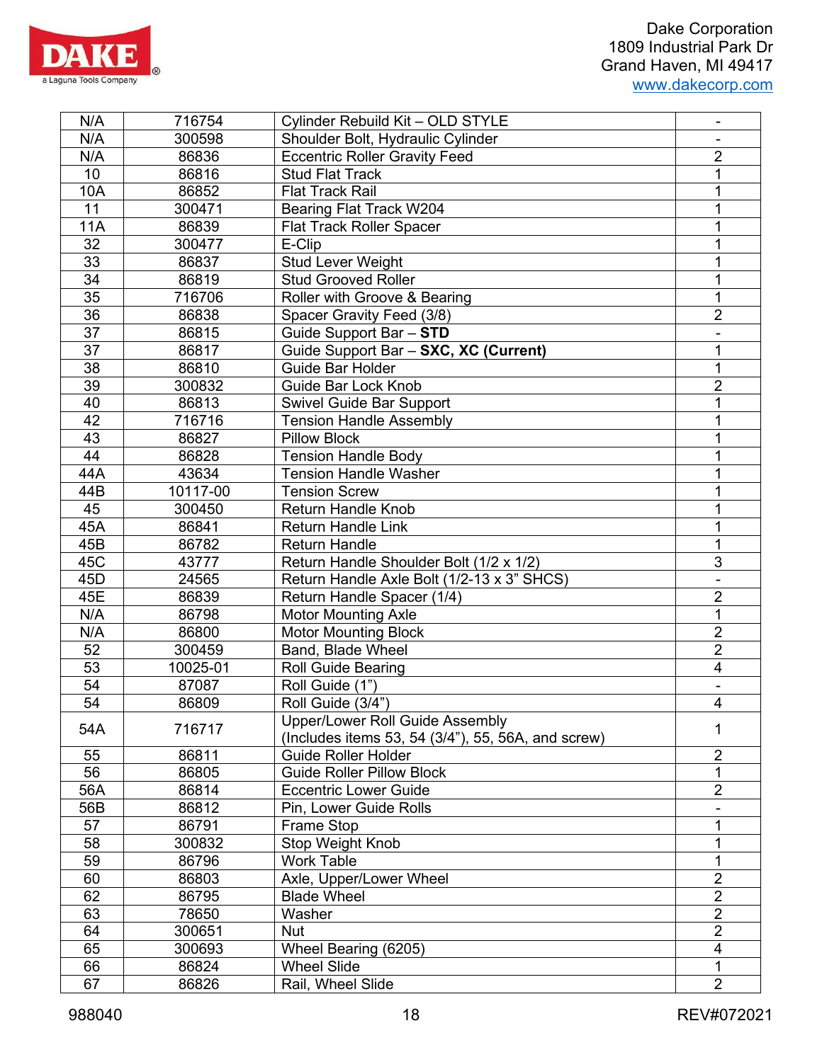

| N/A<br>300598<br>Shoulder Bolt, Hydraulic Cylinder<br>$\overline{2}$<br>N/A<br>86836<br><b>Eccentric Roller Gravity Feed</b><br>10<br>1<br>86816<br><b>Stud Flat Track</b><br>10A<br>86852<br><b>Flat Track Rail</b><br>1<br>11<br>Bearing Flat Track W204<br>300471<br>1<br>11A<br>86839<br><b>Flat Track Roller Spacer</b><br>1<br>32<br>300477<br>E-Clip<br>1<br>33<br>86837<br>1<br><b>Stud Lever Weight</b><br>34<br>86819<br><b>Stud Grooved Roller</b><br>1<br>35<br>1<br>Roller with Groove & Bearing<br>716706<br>$\overline{2}$<br>36<br>86838<br>Spacer Gravity Feed (3/8)<br>$\overline{37}$<br>86815<br>Guide Support Bar - STD<br>37<br>86817<br>Guide Support Bar - SXC, XC (Current)<br>1<br>38<br>$\mathbf 1$<br>Guide Bar Holder<br>86810<br>39<br>$\overline{2}$<br><b>Guide Bar Lock Knob</b><br>300832<br>40<br>86813<br><b>Swivel Guide Bar Support</b><br>1<br>42<br><b>Tension Handle Assembly</b><br>716716<br>1<br>43<br><b>Pillow Block</b><br>86827<br>1<br>44<br><b>Tension Handle Body</b><br>1<br>86828<br>44A<br><b>Tension Handle Washer</b><br>1<br>43634<br>10117-00<br><b>Tension Screw</b><br>44B<br>1<br>45<br>300450<br><b>Return Handle Knob</b><br>1<br>45A<br>1<br>86841<br><b>Return Handle Link</b><br>1<br>45B<br>86782<br><b>Return Handle</b><br>$\overline{3}$<br>45C<br>Return Handle Shoulder Bolt (1/2 x 1/2)<br>43777<br>Return Handle Axle Bolt (1/2-13 x 3" SHCS)<br>45D<br>24565<br>$\overline{2}$<br>45E<br>86839<br>Return Handle Spacer (1/4)<br>N/A<br>1<br>86798<br><b>Motor Mounting Axle</b><br>$\overline{2}$<br>N/A<br>86800<br><b>Motor Mounting Block</b><br>$\overline{2}$<br>52<br>300459<br>Band, Blade Wheel<br>53<br>$\overline{\mathbf{4}}$<br>10025-01<br><b>Roll Guide Bearing</b><br>54<br>Roll Guide (1")<br>87087<br>54<br>$\overline{\mathbf{4}}$<br>86809<br>Roll Guide (3/4")<br><b>Upper/Lower Roll Guide Assembly</b><br>716717<br>54A<br>1<br>(Includes items 53, 54 (3/4"), 55, 56A, and screw)<br>$\overline{2}$<br>86811<br>55<br><b>Guide Roller Holder</b><br>56<br>1<br>86805<br><b>Guide Roller Pillow Block</b><br>$\overline{2}$<br>56A<br>86814<br><b>Eccentric Lower Guide</b><br>56B<br>86812<br>Pin, Lower Guide Rolls<br>57<br><b>Frame Stop</b><br>1<br>86791<br>Stop Weight Knob<br>58<br>300832<br>1<br>59<br>1<br>86796<br><b>Work Table</b><br>$\overline{2}$<br>60<br>86803<br>Axle, Upper/Lower Wheel<br>$\overline{2}$<br>62<br>86795<br><b>Blade Wheel</b><br>$\overline{2}$<br>63<br>78650<br>Washer<br>$\mathbf{2}$<br>64<br>300651<br>Nut<br>$\overline{\mathbf{4}}$<br>65<br>Wheel Bearing (6205)<br>300693<br><b>Wheel Slide</b><br>$\mathbf{1}$<br>66<br>86824<br>$\overline{2}$<br>67<br>86826<br>Rail, Wheel Slide | N/A | 716754 | Cylinder Rebuild Kit - OLD STYLE |  |
|--------------------------------------------------------------------------------------------------------------------------------------------------------------------------------------------------------------------------------------------------------------------------------------------------------------------------------------------------------------------------------------------------------------------------------------------------------------------------------------------------------------------------------------------------------------------------------------------------------------------------------------------------------------------------------------------------------------------------------------------------------------------------------------------------------------------------------------------------------------------------------------------------------------------------------------------------------------------------------------------------------------------------------------------------------------------------------------------------------------------------------------------------------------------------------------------------------------------------------------------------------------------------------------------------------------------------------------------------------------------------------------------------------------------------------------------------------------------------------------------------------------------------------------------------------------------------------------------------------------------------------------------------------------------------------------------------------------------------------------------------------------------------------------------------------------------------------------------------------------------------------------------------------------------------------------------------------------------------------------------------------------------------------------------------------------------------------------------------------------------------------------------------------------------------------------------------------------------------------------------------------------------------------------------------------------------------------------------------------------------------------------------------------------------------------------------------------------------------------------------------------------------------------------------------------------------------------------------------------------------------------------------------------------------------------------------------------------------------------------|-----|--------|----------------------------------|--|
|                                                                                                                                                                                                                                                                                                                                                                                                                                                                                                                                                                                                                                                                                                                                                                                                                                                                                                                                                                                                                                                                                                                                                                                                                                                                                                                                                                                                                                                                                                                                                                                                                                                                                                                                                                                                                                                                                                                                                                                                                                                                                                                                                                                                                                                                                                                                                                                                                                                                                                                                                                                                                                                                                                                                      |     |        |                                  |  |
|                                                                                                                                                                                                                                                                                                                                                                                                                                                                                                                                                                                                                                                                                                                                                                                                                                                                                                                                                                                                                                                                                                                                                                                                                                                                                                                                                                                                                                                                                                                                                                                                                                                                                                                                                                                                                                                                                                                                                                                                                                                                                                                                                                                                                                                                                                                                                                                                                                                                                                                                                                                                                                                                                                                                      |     |        |                                  |  |
|                                                                                                                                                                                                                                                                                                                                                                                                                                                                                                                                                                                                                                                                                                                                                                                                                                                                                                                                                                                                                                                                                                                                                                                                                                                                                                                                                                                                                                                                                                                                                                                                                                                                                                                                                                                                                                                                                                                                                                                                                                                                                                                                                                                                                                                                                                                                                                                                                                                                                                                                                                                                                                                                                                                                      |     |        |                                  |  |
|                                                                                                                                                                                                                                                                                                                                                                                                                                                                                                                                                                                                                                                                                                                                                                                                                                                                                                                                                                                                                                                                                                                                                                                                                                                                                                                                                                                                                                                                                                                                                                                                                                                                                                                                                                                                                                                                                                                                                                                                                                                                                                                                                                                                                                                                                                                                                                                                                                                                                                                                                                                                                                                                                                                                      |     |        |                                  |  |
|                                                                                                                                                                                                                                                                                                                                                                                                                                                                                                                                                                                                                                                                                                                                                                                                                                                                                                                                                                                                                                                                                                                                                                                                                                                                                                                                                                                                                                                                                                                                                                                                                                                                                                                                                                                                                                                                                                                                                                                                                                                                                                                                                                                                                                                                                                                                                                                                                                                                                                                                                                                                                                                                                                                                      |     |        |                                  |  |
|                                                                                                                                                                                                                                                                                                                                                                                                                                                                                                                                                                                                                                                                                                                                                                                                                                                                                                                                                                                                                                                                                                                                                                                                                                                                                                                                                                                                                                                                                                                                                                                                                                                                                                                                                                                                                                                                                                                                                                                                                                                                                                                                                                                                                                                                                                                                                                                                                                                                                                                                                                                                                                                                                                                                      |     |        |                                  |  |
|                                                                                                                                                                                                                                                                                                                                                                                                                                                                                                                                                                                                                                                                                                                                                                                                                                                                                                                                                                                                                                                                                                                                                                                                                                                                                                                                                                                                                                                                                                                                                                                                                                                                                                                                                                                                                                                                                                                                                                                                                                                                                                                                                                                                                                                                                                                                                                                                                                                                                                                                                                                                                                                                                                                                      |     |        |                                  |  |
|                                                                                                                                                                                                                                                                                                                                                                                                                                                                                                                                                                                                                                                                                                                                                                                                                                                                                                                                                                                                                                                                                                                                                                                                                                                                                                                                                                                                                                                                                                                                                                                                                                                                                                                                                                                                                                                                                                                                                                                                                                                                                                                                                                                                                                                                                                                                                                                                                                                                                                                                                                                                                                                                                                                                      |     |        |                                  |  |
|                                                                                                                                                                                                                                                                                                                                                                                                                                                                                                                                                                                                                                                                                                                                                                                                                                                                                                                                                                                                                                                                                                                                                                                                                                                                                                                                                                                                                                                                                                                                                                                                                                                                                                                                                                                                                                                                                                                                                                                                                                                                                                                                                                                                                                                                                                                                                                                                                                                                                                                                                                                                                                                                                                                                      |     |        |                                  |  |
|                                                                                                                                                                                                                                                                                                                                                                                                                                                                                                                                                                                                                                                                                                                                                                                                                                                                                                                                                                                                                                                                                                                                                                                                                                                                                                                                                                                                                                                                                                                                                                                                                                                                                                                                                                                                                                                                                                                                                                                                                                                                                                                                                                                                                                                                                                                                                                                                                                                                                                                                                                                                                                                                                                                                      |     |        |                                  |  |
|                                                                                                                                                                                                                                                                                                                                                                                                                                                                                                                                                                                                                                                                                                                                                                                                                                                                                                                                                                                                                                                                                                                                                                                                                                                                                                                                                                                                                                                                                                                                                                                                                                                                                                                                                                                                                                                                                                                                                                                                                                                                                                                                                                                                                                                                                                                                                                                                                                                                                                                                                                                                                                                                                                                                      |     |        |                                  |  |
|                                                                                                                                                                                                                                                                                                                                                                                                                                                                                                                                                                                                                                                                                                                                                                                                                                                                                                                                                                                                                                                                                                                                                                                                                                                                                                                                                                                                                                                                                                                                                                                                                                                                                                                                                                                                                                                                                                                                                                                                                                                                                                                                                                                                                                                                                                                                                                                                                                                                                                                                                                                                                                                                                                                                      |     |        |                                  |  |
|                                                                                                                                                                                                                                                                                                                                                                                                                                                                                                                                                                                                                                                                                                                                                                                                                                                                                                                                                                                                                                                                                                                                                                                                                                                                                                                                                                                                                                                                                                                                                                                                                                                                                                                                                                                                                                                                                                                                                                                                                                                                                                                                                                                                                                                                                                                                                                                                                                                                                                                                                                                                                                                                                                                                      |     |        |                                  |  |
|                                                                                                                                                                                                                                                                                                                                                                                                                                                                                                                                                                                                                                                                                                                                                                                                                                                                                                                                                                                                                                                                                                                                                                                                                                                                                                                                                                                                                                                                                                                                                                                                                                                                                                                                                                                                                                                                                                                                                                                                                                                                                                                                                                                                                                                                                                                                                                                                                                                                                                                                                                                                                                                                                                                                      |     |        |                                  |  |
|                                                                                                                                                                                                                                                                                                                                                                                                                                                                                                                                                                                                                                                                                                                                                                                                                                                                                                                                                                                                                                                                                                                                                                                                                                                                                                                                                                                                                                                                                                                                                                                                                                                                                                                                                                                                                                                                                                                                                                                                                                                                                                                                                                                                                                                                                                                                                                                                                                                                                                                                                                                                                                                                                                                                      |     |        |                                  |  |
|                                                                                                                                                                                                                                                                                                                                                                                                                                                                                                                                                                                                                                                                                                                                                                                                                                                                                                                                                                                                                                                                                                                                                                                                                                                                                                                                                                                                                                                                                                                                                                                                                                                                                                                                                                                                                                                                                                                                                                                                                                                                                                                                                                                                                                                                                                                                                                                                                                                                                                                                                                                                                                                                                                                                      |     |        |                                  |  |
|                                                                                                                                                                                                                                                                                                                                                                                                                                                                                                                                                                                                                                                                                                                                                                                                                                                                                                                                                                                                                                                                                                                                                                                                                                                                                                                                                                                                                                                                                                                                                                                                                                                                                                                                                                                                                                                                                                                                                                                                                                                                                                                                                                                                                                                                                                                                                                                                                                                                                                                                                                                                                                                                                                                                      |     |        |                                  |  |
|                                                                                                                                                                                                                                                                                                                                                                                                                                                                                                                                                                                                                                                                                                                                                                                                                                                                                                                                                                                                                                                                                                                                                                                                                                                                                                                                                                                                                                                                                                                                                                                                                                                                                                                                                                                                                                                                                                                                                                                                                                                                                                                                                                                                                                                                                                                                                                                                                                                                                                                                                                                                                                                                                                                                      |     |        |                                  |  |
|                                                                                                                                                                                                                                                                                                                                                                                                                                                                                                                                                                                                                                                                                                                                                                                                                                                                                                                                                                                                                                                                                                                                                                                                                                                                                                                                                                                                                                                                                                                                                                                                                                                                                                                                                                                                                                                                                                                                                                                                                                                                                                                                                                                                                                                                                                                                                                                                                                                                                                                                                                                                                                                                                                                                      |     |        |                                  |  |
|                                                                                                                                                                                                                                                                                                                                                                                                                                                                                                                                                                                                                                                                                                                                                                                                                                                                                                                                                                                                                                                                                                                                                                                                                                                                                                                                                                                                                                                                                                                                                                                                                                                                                                                                                                                                                                                                                                                                                                                                                                                                                                                                                                                                                                                                                                                                                                                                                                                                                                                                                                                                                                                                                                                                      |     |        |                                  |  |
|                                                                                                                                                                                                                                                                                                                                                                                                                                                                                                                                                                                                                                                                                                                                                                                                                                                                                                                                                                                                                                                                                                                                                                                                                                                                                                                                                                                                                                                                                                                                                                                                                                                                                                                                                                                                                                                                                                                                                                                                                                                                                                                                                                                                                                                                                                                                                                                                                                                                                                                                                                                                                                                                                                                                      |     |        |                                  |  |
|                                                                                                                                                                                                                                                                                                                                                                                                                                                                                                                                                                                                                                                                                                                                                                                                                                                                                                                                                                                                                                                                                                                                                                                                                                                                                                                                                                                                                                                                                                                                                                                                                                                                                                                                                                                                                                                                                                                                                                                                                                                                                                                                                                                                                                                                                                                                                                                                                                                                                                                                                                                                                                                                                                                                      |     |        |                                  |  |
|                                                                                                                                                                                                                                                                                                                                                                                                                                                                                                                                                                                                                                                                                                                                                                                                                                                                                                                                                                                                                                                                                                                                                                                                                                                                                                                                                                                                                                                                                                                                                                                                                                                                                                                                                                                                                                                                                                                                                                                                                                                                                                                                                                                                                                                                                                                                                                                                                                                                                                                                                                                                                                                                                                                                      |     |        |                                  |  |
|                                                                                                                                                                                                                                                                                                                                                                                                                                                                                                                                                                                                                                                                                                                                                                                                                                                                                                                                                                                                                                                                                                                                                                                                                                                                                                                                                                                                                                                                                                                                                                                                                                                                                                                                                                                                                                                                                                                                                                                                                                                                                                                                                                                                                                                                                                                                                                                                                                                                                                                                                                                                                                                                                                                                      |     |        |                                  |  |
|                                                                                                                                                                                                                                                                                                                                                                                                                                                                                                                                                                                                                                                                                                                                                                                                                                                                                                                                                                                                                                                                                                                                                                                                                                                                                                                                                                                                                                                                                                                                                                                                                                                                                                                                                                                                                                                                                                                                                                                                                                                                                                                                                                                                                                                                                                                                                                                                                                                                                                                                                                                                                                                                                                                                      |     |        |                                  |  |
|                                                                                                                                                                                                                                                                                                                                                                                                                                                                                                                                                                                                                                                                                                                                                                                                                                                                                                                                                                                                                                                                                                                                                                                                                                                                                                                                                                                                                                                                                                                                                                                                                                                                                                                                                                                                                                                                                                                                                                                                                                                                                                                                                                                                                                                                                                                                                                                                                                                                                                                                                                                                                                                                                                                                      |     |        |                                  |  |
|                                                                                                                                                                                                                                                                                                                                                                                                                                                                                                                                                                                                                                                                                                                                                                                                                                                                                                                                                                                                                                                                                                                                                                                                                                                                                                                                                                                                                                                                                                                                                                                                                                                                                                                                                                                                                                                                                                                                                                                                                                                                                                                                                                                                                                                                                                                                                                                                                                                                                                                                                                                                                                                                                                                                      |     |        |                                  |  |
|                                                                                                                                                                                                                                                                                                                                                                                                                                                                                                                                                                                                                                                                                                                                                                                                                                                                                                                                                                                                                                                                                                                                                                                                                                                                                                                                                                                                                                                                                                                                                                                                                                                                                                                                                                                                                                                                                                                                                                                                                                                                                                                                                                                                                                                                                                                                                                                                                                                                                                                                                                                                                                                                                                                                      |     |        |                                  |  |
|                                                                                                                                                                                                                                                                                                                                                                                                                                                                                                                                                                                                                                                                                                                                                                                                                                                                                                                                                                                                                                                                                                                                                                                                                                                                                                                                                                                                                                                                                                                                                                                                                                                                                                                                                                                                                                                                                                                                                                                                                                                                                                                                                                                                                                                                                                                                                                                                                                                                                                                                                                                                                                                                                                                                      |     |        |                                  |  |
|                                                                                                                                                                                                                                                                                                                                                                                                                                                                                                                                                                                                                                                                                                                                                                                                                                                                                                                                                                                                                                                                                                                                                                                                                                                                                                                                                                                                                                                                                                                                                                                                                                                                                                                                                                                                                                                                                                                                                                                                                                                                                                                                                                                                                                                                                                                                                                                                                                                                                                                                                                                                                                                                                                                                      |     |        |                                  |  |
|                                                                                                                                                                                                                                                                                                                                                                                                                                                                                                                                                                                                                                                                                                                                                                                                                                                                                                                                                                                                                                                                                                                                                                                                                                                                                                                                                                                                                                                                                                                                                                                                                                                                                                                                                                                                                                                                                                                                                                                                                                                                                                                                                                                                                                                                                                                                                                                                                                                                                                                                                                                                                                                                                                                                      |     |        |                                  |  |
|                                                                                                                                                                                                                                                                                                                                                                                                                                                                                                                                                                                                                                                                                                                                                                                                                                                                                                                                                                                                                                                                                                                                                                                                                                                                                                                                                                                                                                                                                                                                                                                                                                                                                                                                                                                                                                                                                                                                                                                                                                                                                                                                                                                                                                                                                                                                                                                                                                                                                                                                                                                                                                                                                                                                      |     |        |                                  |  |
|                                                                                                                                                                                                                                                                                                                                                                                                                                                                                                                                                                                                                                                                                                                                                                                                                                                                                                                                                                                                                                                                                                                                                                                                                                                                                                                                                                                                                                                                                                                                                                                                                                                                                                                                                                                                                                                                                                                                                                                                                                                                                                                                                                                                                                                                                                                                                                                                                                                                                                                                                                                                                                                                                                                                      |     |        |                                  |  |
|                                                                                                                                                                                                                                                                                                                                                                                                                                                                                                                                                                                                                                                                                                                                                                                                                                                                                                                                                                                                                                                                                                                                                                                                                                                                                                                                                                                                                                                                                                                                                                                                                                                                                                                                                                                                                                                                                                                                                                                                                                                                                                                                                                                                                                                                                                                                                                                                                                                                                                                                                                                                                                                                                                                                      |     |        |                                  |  |
|                                                                                                                                                                                                                                                                                                                                                                                                                                                                                                                                                                                                                                                                                                                                                                                                                                                                                                                                                                                                                                                                                                                                                                                                                                                                                                                                                                                                                                                                                                                                                                                                                                                                                                                                                                                                                                                                                                                                                                                                                                                                                                                                                                                                                                                                                                                                                                                                                                                                                                                                                                                                                                                                                                                                      |     |        |                                  |  |
|                                                                                                                                                                                                                                                                                                                                                                                                                                                                                                                                                                                                                                                                                                                                                                                                                                                                                                                                                                                                                                                                                                                                                                                                                                                                                                                                                                                                                                                                                                                                                                                                                                                                                                                                                                                                                                                                                                                                                                                                                                                                                                                                                                                                                                                                                                                                                                                                                                                                                                                                                                                                                                                                                                                                      |     |        |                                  |  |
|                                                                                                                                                                                                                                                                                                                                                                                                                                                                                                                                                                                                                                                                                                                                                                                                                                                                                                                                                                                                                                                                                                                                                                                                                                                                                                                                                                                                                                                                                                                                                                                                                                                                                                                                                                                                                                                                                                                                                                                                                                                                                                                                                                                                                                                                                                                                                                                                                                                                                                                                                                                                                                                                                                                                      |     |        |                                  |  |
|                                                                                                                                                                                                                                                                                                                                                                                                                                                                                                                                                                                                                                                                                                                                                                                                                                                                                                                                                                                                                                                                                                                                                                                                                                                                                                                                                                                                                                                                                                                                                                                                                                                                                                                                                                                                                                                                                                                                                                                                                                                                                                                                                                                                                                                                                                                                                                                                                                                                                                                                                                                                                                                                                                                                      |     |        |                                  |  |
|                                                                                                                                                                                                                                                                                                                                                                                                                                                                                                                                                                                                                                                                                                                                                                                                                                                                                                                                                                                                                                                                                                                                                                                                                                                                                                                                                                                                                                                                                                                                                                                                                                                                                                                                                                                                                                                                                                                                                                                                                                                                                                                                                                                                                                                                                                                                                                                                                                                                                                                                                                                                                                                                                                                                      |     |        |                                  |  |
|                                                                                                                                                                                                                                                                                                                                                                                                                                                                                                                                                                                                                                                                                                                                                                                                                                                                                                                                                                                                                                                                                                                                                                                                                                                                                                                                                                                                                                                                                                                                                                                                                                                                                                                                                                                                                                                                                                                                                                                                                                                                                                                                                                                                                                                                                                                                                                                                                                                                                                                                                                                                                                                                                                                                      |     |        |                                  |  |
|                                                                                                                                                                                                                                                                                                                                                                                                                                                                                                                                                                                                                                                                                                                                                                                                                                                                                                                                                                                                                                                                                                                                                                                                                                                                                                                                                                                                                                                                                                                                                                                                                                                                                                                                                                                                                                                                                                                                                                                                                                                                                                                                                                                                                                                                                                                                                                                                                                                                                                                                                                                                                                                                                                                                      |     |        |                                  |  |
|                                                                                                                                                                                                                                                                                                                                                                                                                                                                                                                                                                                                                                                                                                                                                                                                                                                                                                                                                                                                                                                                                                                                                                                                                                                                                                                                                                                                                                                                                                                                                                                                                                                                                                                                                                                                                                                                                                                                                                                                                                                                                                                                                                                                                                                                                                                                                                                                                                                                                                                                                                                                                                                                                                                                      |     |        |                                  |  |
|                                                                                                                                                                                                                                                                                                                                                                                                                                                                                                                                                                                                                                                                                                                                                                                                                                                                                                                                                                                                                                                                                                                                                                                                                                                                                                                                                                                                                                                                                                                                                                                                                                                                                                                                                                                                                                                                                                                                                                                                                                                                                                                                                                                                                                                                                                                                                                                                                                                                                                                                                                                                                                                                                                                                      |     |        |                                  |  |
|                                                                                                                                                                                                                                                                                                                                                                                                                                                                                                                                                                                                                                                                                                                                                                                                                                                                                                                                                                                                                                                                                                                                                                                                                                                                                                                                                                                                                                                                                                                                                                                                                                                                                                                                                                                                                                                                                                                                                                                                                                                                                                                                                                                                                                                                                                                                                                                                                                                                                                                                                                                                                                                                                                                                      |     |        |                                  |  |
|                                                                                                                                                                                                                                                                                                                                                                                                                                                                                                                                                                                                                                                                                                                                                                                                                                                                                                                                                                                                                                                                                                                                                                                                                                                                                                                                                                                                                                                                                                                                                                                                                                                                                                                                                                                                                                                                                                                                                                                                                                                                                                                                                                                                                                                                                                                                                                                                                                                                                                                                                                                                                                                                                                                                      |     |        |                                  |  |
|                                                                                                                                                                                                                                                                                                                                                                                                                                                                                                                                                                                                                                                                                                                                                                                                                                                                                                                                                                                                                                                                                                                                                                                                                                                                                                                                                                                                                                                                                                                                                                                                                                                                                                                                                                                                                                                                                                                                                                                                                                                                                                                                                                                                                                                                                                                                                                                                                                                                                                                                                                                                                                                                                                                                      |     |        |                                  |  |
|                                                                                                                                                                                                                                                                                                                                                                                                                                                                                                                                                                                                                                                                                                                                                                                                                                                                                                                                                                                                                                                                                                                                                                                                                                                                                                                                                                                                                                                                                                                                                                                                                                                                                                                                                                                                                                                                                                                                                                                                                                                                                                                                                                                                                                                                                                                                                                                                                                                                                                                                                                                                                                                                                                                                      |     |        |                                  |  |
|                                                                                                                                                                                                                                                                                                                                                                                                                                                                                                                                                                                                                                                                                                                                                                                                                                                                                                                                                                                                                                                                                                                                                                                                                                                                                                                                                                                                                                                                                                                                                                                                                                                                                                                                                                                                                                                                                                                                                                                                                                                                                                                                                                                                                                                                                                                                                                                                                                                                                                                                                                                                                                                                                                                                      |     |        |                                  |  |
|                                                                                                                                                                                                                                                                                                                                                                                                                                                                                                                                                                                                                                                                                                                                                                                                                                                                                                                                                                                                                                                                                                                                                                                                                                                                                                                                                                                                                                                                                                                                                                                                                                                                                                                                                                                                                                                                                                                                                                                                                                                                                                                                                                                                                                                                                                                                                                                                                                                                                                                                                                                                                                                                                                                                      |     |        |                                  |  |